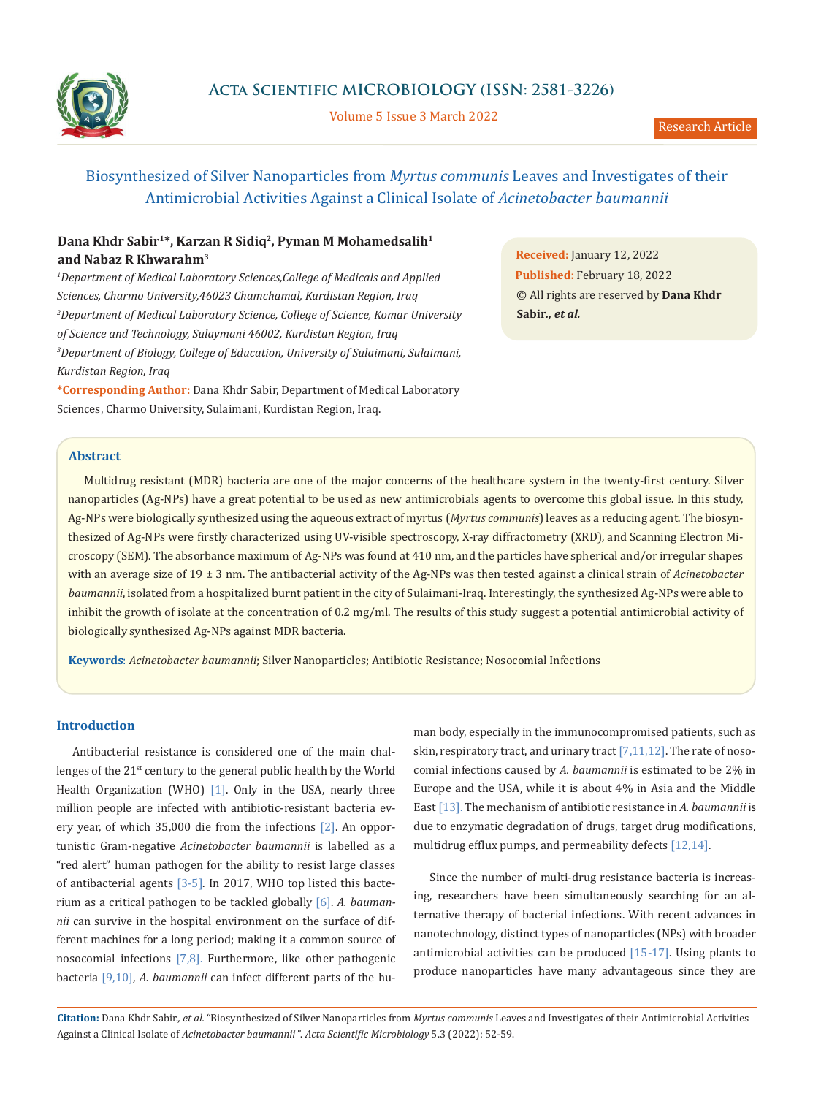

Volume 5 Issue 3 March 2022

# Biosynthesized of Silver Nanoparticles from *Myrtus communis* Leaves and Investigates of their Antimicrobial Activities Against a Clinical Isolate of *Acinetobacter baumannii*

# **Dana Khdr Sabir1\*, Karzan R Sidiq2, Pyman M Mohamedsalih1 and Nabaz R Khwarahm3**

<sup>1</sup>Department of Medical Laboratory Sciences, College of Medicals and Applied *Sciences, Charmo University,46023 Chamchamal, Kurdistan Region, Iraq 2 Department of Medical Laboratory Science, College of Science, Komar University of Science and Technology, Sulaymani 46002, Kurdistan Region, Iraq 3 Department of Biology, College of Education, University of Sulaimani, Sulaimani, Kurdistan Region, Iraq*

**\*Corresponding Author:** Dana Khdr Sabir, Department of Medical Laboratory Sciences, Charmo University, Sulaimani, Kurdistan Region, Iraq.

**Received:** January 12, 2022 **Published:** February 18, 2022 © All rights are reserved by **Dana Khdr Sabir***., et al.*

# **Abstract**

Multidrug resistant (MDR) bacteria are one of the major concerns of the healthcare system in the twenty-first century. Silver nanoparticles (Ag-NPs) have a great potential to be used as new antimicrobials agents to overcome this global issue. In this study, Ag-NPs were biologically synthesized using the aqueous extract of myrtus (*Myrtus communis*) leaves as a reducing agent. The biosynthesized of Ag-NPs were firstly characterized using UV-visible spectroscopy, X-ray diffractometry (XRD), and Scanning Electron Microscopy (SEM). The absorbance maximum of Ag-NPs was found at 410 nm, and the particles have spherical and/or irregular shapes with an average size of 19 ± 3 nm. The antibacterial activity of the Ag-NPs was then tested against a clinical strain of *Acinetobacter baumannii*, isolated from a hospitalized burnt patient in the city of Sulaimani-Iraq. Interestingly, the synthesized Ag-NPs were able to inhibit the growth of isolate at the concentration of 0.2 mg/ml. The results of this study suggest a potential antimicrobial activity of biologically synthesized Ag-NPs against MDR bacteria.

**Keywords**: *Acinetobacter baumannii*; Silver Nanoparticles; Antibiotic Resistance; Nosocomial Infections

# **Introduction**

Antibacterial resistance is considered one of the main challenges of the 21<sup>st</sup> century to the general public health by the World Health Organization (WHO) [1]. Only in the USA, nearly three million people are infected with antibiotic-resistant bacteria every year, of which 35,000 die from the infections [2]. An opportunistic Gram-negative *Acinetobacter baumannii* is labelled as a "red alert" human pathogen for the ability to resist large classes of antibacterial agents [3-5]. In 2017, WHO top listed this bacterium as a critical pathogen to be tackled globally [6]. *A. baumannii* can survive in the hospital environment on the surface of different machines for a long period; making it a common source of nosocomial infections  $[7,8]$ . Furthermore, like other pathogenic bacteria [9,10], *A. baumannii* can infect different parts of the human body, especially in the immunocompromised patients, such as skin, respiratory tract, and urinary tract [7,11,12]. The rate of nosocomial infections caused by *A. baumannii* is estimated to be 2% in Europe and the USA, while it is about 4% in Asia and the Middle East [13]. The mechanism of antibiotic resistance in *A. baumannii* is due to enzymatic degradation of drugs, target drug modifications, multidrug efflux pumps, and permeability defects [12,14].

Since the number of multi-drug resistance bacteria is increasing, researchers have been simultaneously searching for an alternative therapy of bacterial infections. With recent advances in nanotechnology, distinct types of nanoparticles (NPs) with broader antimicrobial activities can be produced [15-17]. Using plants to produce nanoparticles have many advantageous since they are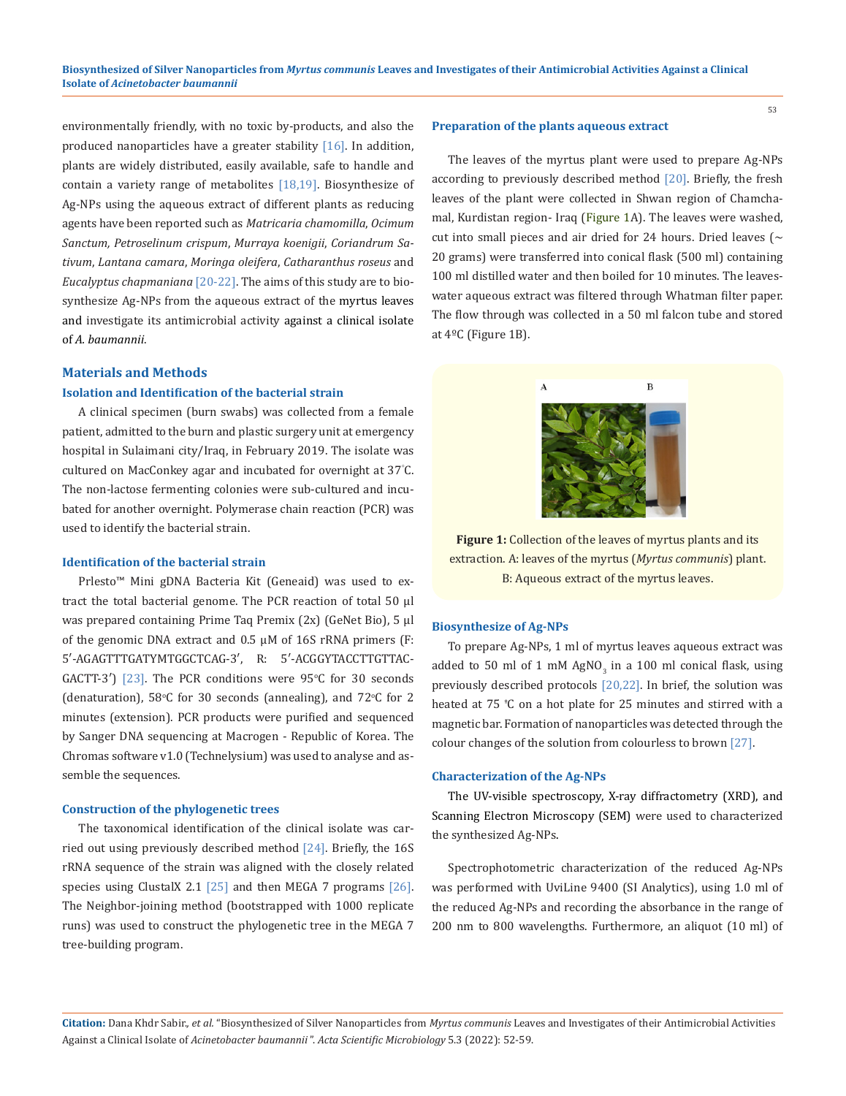environmentally friendly, with no toxic by-products, and also the produced nanoparticles have a greater stability [16]. In addition, plants are widely distributed, easily available, safe to handle and contain a variety range of metabolites [18,19]. Biosynthesize of Ag-NPs using the aqueous extract of different plants as reducing agents have been reported such as *Matricaria chamomilla*, *Ocimum Sanctum, Petroselinum crispum*, *Murraya koenigii*, *Coriandrum Sativum*, *Lantana camara*, *Moringa oleifera*, *Catharanthus roseus* and *Eucalyptus chapmaniana* [20-22]. The aims of this study are to biosynthesize Ag-NPs from the aqueous extract of the myrtus leaves and investigate its antimicrobial activity against a clinical isolate of *A. baumannii*.

# **Materials and Methods**

### **Isolation and Identification of the bacterial strain**

A clinical specimen (burn swabs) was collected from a female patient, admitted to the burn and plastic surgery unit at emergency hospital in Sulaimani city/Iraq, in February 2019. The isolate was cultured on MacConkey agar and incubated for overnight at 37° C. The non-lactose fermenting colonies were sub-cultured and incubated for another overnight. Polymerase chain reaction (PCR) was used to identify the bacterial strain.

#### **Identification of the bacterial strain**

Prlesto™ Mini gDNA Bacteria Kit (Geneaid) was used to extract the total bacterial genome. The PCR reaction of total 50 μl was prepared containing Prime Taq Premix (2x) (GeNet Bio), 5 μl of the genomic DNA extract and 0.5 μM of 16S rRNA primers (F: 5′-AGAGTTTGATYMTGGCTCAG-3′, R: 5′-ACGGYTACCTTGTTAC- $GACTT-3'$ ) [23]. The PCR conditions were  $95^{\circ}$ C for 30 seconds (denaturation),  $58^{\circ}$ C for 30 seconds (annealing), and  $72^{\circ}$ C for 2 minutes (extension). PCR products were purified and sequenced by Sanger DNA sequencing at Macrogen - Republic of Korea. The Chromas software v1.0 (Technelysium) was used to analyse and assemble the sequences.

#### **Construction of the phylogenetic trees**

The taxonomical identification of the clinical isolate was carried out using previously described method [24]. Briefly, the 16S rRNA sequence of the strain was aligned with the closely related species using ClustalX 2.1  $[25]$  and then MEGA 7 programs  $[26]$ . The Neighbor-joining method (bootstrapped with 1000 replicate runs) was used to construct the phylogenetic tree in the MEGA 7 tree-building program.

#### **Preparation of the plants aqueous extract**

The leaves of the myrtus plant were used to prepare Ag-NPs according to previously described method [20]. Briefly, the fresh leaves of the plant were collected in Shwan region of Chamchamal, Kurdistan region- Iraq (Figure 1A). The leaves were washed, cut into small pieces and air dried for 24 hours. Dried leaves ( $\sim$ 20 grams) were transferred into conical flask (500 ml) containing 100 ml distilled water and then boiled for 10 minutes. The leaveswater aqueous extract was filtered through Whatman filter paper. The flow through was collected in a 50 ml falcon tube and stored at 4ºC (Figure 1B).

53



Figure 1: Collection of the leaves of myrtus plants and its extraction. A: leaves of the myrtus (*Myrtus communis*) plant. B: Aqueous extract of the myrtus leaves.

### **Biosynthesize of Ag-NPs**

To prepare Ag-NPs, 1 ml of myrtus leaves aqueous extract was added to 50 ml of 1 mM AgNO<sub>3</sub> in a 100 ml conical flask, using previously described protocols [20,22]. In brief, the solution was heated at 75 <sup>º</sup> C on a hot plate for 25 minutes and stirred with a magnetic bar. Formation of nanoparticles was detected through the colour changes of the solution from colourless to brown [27].

#### **Characterization of the Ag-NPs**

The UV-visible spectroscopy, X-ray diffractometry (XRD), and Scanning Electron Microscopy (SEM) were used to characterized the synthesized Ag-NPs.

Spectrophotometric characterization of the reduced Ag-NPs was performed with UviLine 9400 (SI Analytics), using 1.0 ml of the reduced Ag-NPs and recording the absorbance in the range of 200 nm to 800 wavelengths. Furthermore, an aliquot (10 ml) of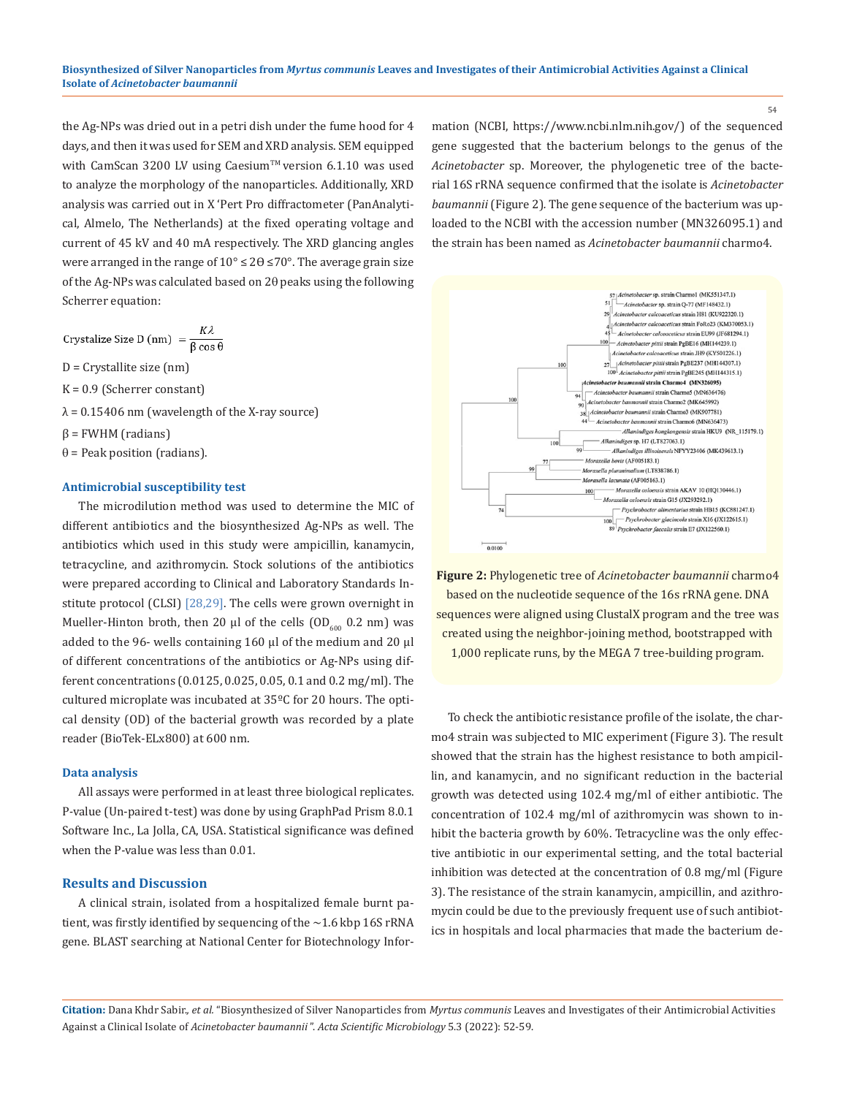the Ag-NPs was dried out in a petri dish under the fume hood for 4 days, and then it was used for SEM and XRD analysis. SEM equipped with CamScan 3200 LV using Caesium™ version 6.1.10 was used to analyze the morphology of the nanoparticles. Additionally, XRD analysis was carried out in X 'Pert Pro diffractometer (PanAnalytical, Almelo, The Netherlands) at the fixed operating voltage and current of 45 kV and 40 mA respectively. The XRD glancing angles were arranged in the range of  $10^{\circ} \le 2\theta \le 70^{\circ}$ . The average grain size of the Ag-NPs was calculated based on 2θ peaks using the following Scherrer equation:

Crystalize Size D (nm) =  $\frac{K\lambda}{\beta \cos \theta}$ 

D = Crystallite size (nm)

 $K = 0.9$  (Scherrer constant)

 $\lambda$  = 0.15406 nm (wavelength of the X-ray source)

 $β = FWHM (radians)$ 

 $\theta$  = Peak position (radians).

# **Antimicrobial susceptibility test**

The microdilution method was used to determine the MIC of different antibiotics and the biosynthesized Ag-NPs as well. The antibiotics which used in this study were ampicillin, kanamycin, tetracycline, and azithromycin. Stock solutions of the antibiotics were prepared according to Clinical and Laboratory Standards Institute protocol (CLSI) [28,29]. The cells were grown overnight in Mueller-Hinton broth, then 20  $\mu$ l of the cells (OD<sub>600</sub> 0.2 nm) was added to the 96- wells containing 160 μl of the medium and 20 μl of different concentrations of the antibiotics or Ag-NPs using different concentrations (0.0125, 0.025, 0.05, 0.1 and 0.2 mg/ml). The cultured microplate was incubated at 35ºC for 20 hours. The optical density (OD) of the bacterial growth was recorded by a plate reader (BioTek-ELx800) at 600 nm.

### **Data analysis**

All assays were performed in at least three biological replicates. P*-*value (Un-paired t-test) was done by using GraphPad Prism 8.0.1 Software Inc., La Jolla, CA, USA. Statistical significance was defined when the P*-*value was less than 0.01.

# **Results and Discussion**

A clinical strain, isolated from a hospitalized female burnt patient, was firstly identified by sequencing of the  $\sim$  1.6 kbp 16S rRNA gene. BLAST searching at National Center for Biotechnology Information (NCBI, https://www.ncbi.nlm.nih.gov/) of the sequenced gene suggested that the bacterium belongs to the genus of the *Acinetobacter* sp. Moreover, the phylogenetic tree of the bacterial 16S rRNA sequence confirmed that the isolate is *Acinetobacter baumannii* (Figure 2)*.* The gene sequence of the bacterium was uploaded to the NCBI with the accession number (MN326095.1) and the strain has been named as *Acinetobacter baumannii* charmo4.



**Figure 2:** Phylogenetic tree of *Acinetobacter baumannii* charmo4 based on the nucleotide sequence of the 16s rRNA gene. DNA sequences were aligned using ClustalX program and the tree was created using the neighbor-joining method, bootstrapped with 1,000 replicate runs, by the MEGA 7 tree-building program.

To check the antibiotic resistance profile of the isolate, the charmo4 strain was subjected to MIC experiment (Figure 3). The result showed that the strain has the highest resistance to both ampicillin, and kanamycin, and no significant reduction in the bacterial growth was detected using 102.4 mg/ml of either antibiotic. The concentration of 102.4 mg/ml of azithromycin was shown to inhibit the bacteria growth by 60%. Tetracycline was the only effective antibiotic in our experimental setting, and the total bacterial inhibition was detected at the concentration of 0.8 mg/ml (Figure 3). The resistance of the strain kanamycin, ampicillin, and azithromycin could be due to the previously frequent use of such antibiotics in hospitals and local pharmacies that made the bacterium de-

**Citation:** Dana Khdr Sabir.*, et al.* "Biosynthesized of Silver Nanoparticles from *Myrtus communis* Leaves and Investigates of their Antimicrobial Activities Against a Clinical Isolate of *Acinetobacter baumannii* ". *Acta Scientific Microbiology* 5.3 (2022): 52-59.

54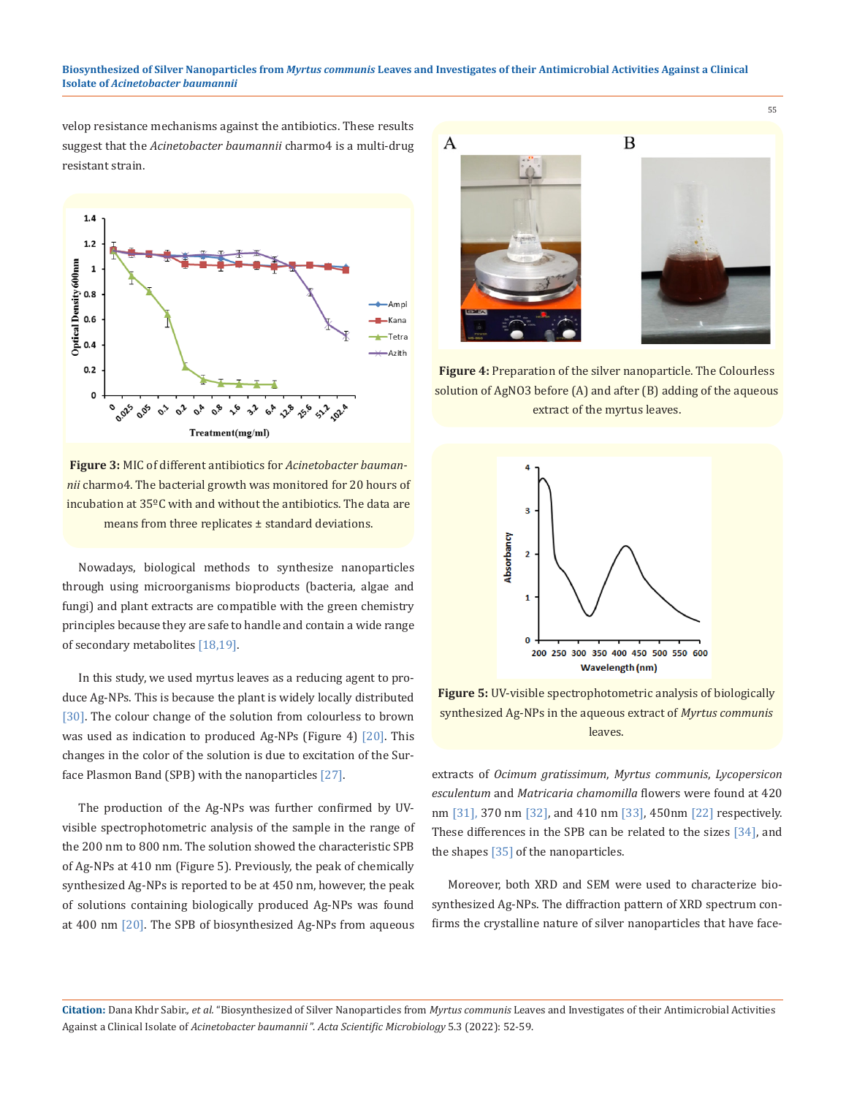#### **Biosynthesized of Silver Nanoparticles from** *Myrtus communis* **Leaves and Investigates of their Antimicrobial Activities Against a Clinical Isolate of** *Acinetobacter baumannii*

velop resistance mechanisms against the antibiotics. These results suggest that the *Acinetobacter baumannii* charmo4 is a multi-drug resistant strain.



**Figure 3:** MIC of different antibiotics for *Acinetobacter baumannii* charmo4. The bacterial growth was monitored for 20 hours of incubation at 35ºC with and without the antibiotics. The data are means from three replicates ± standard deviations.

Nowadays, biological methods to synthesize nanoparticles through using microorganisms bioproducts (bacteria, algae and fungi) and plant extracts are compatible with the green chemistry principles because they are safe to handle and contain a wide range of secondary metabolites [18,19].

In this study, we used myrtus leaves as a reducing agent to produce Ag-NPs. This is because the plant is widely locally distributed [30]. The colour change of the solution from colourless to brown was used as indication to produced Ag-NPs (Figure 4)  $[20]$ . This changes in the color of the solution is due to excitation of the Surface Plasmon Band (SPB) with the nanoparticles [27].

The production of the Ag-NPs was further confirmed by UVvisible spectrophotometric analysis of the sample in the range of the 200 nm to 800 nm. The solution showed the characteristic SPB of Ag-NPs at 410 nm (Figure 5). Previously, the peak of chemically synthesized Ag-NPs is reported to be at 450 nm, however, the peak of solutions containing biologically produced Ag-NPs was found at 400 nm [20]. The SPB of biosynthesized Ag-NPs from aqueous



**Figure 4:** Preparation of the silver nanoparticle. The Colourless solution of AgNO3 before (A) and after (B) adding of the aqueous extract of the myrtus leaves.



**Figure 5:** UV-visible spectrophotometric analysis of biologically synthesized Ag-NPs in the aqueous extract of *Myrtus communis*  leaves.

extracts of *Ocimum gratissimum*, *Myrtus communis*, *Lycopersicon esculentum* and *Matricaria chamomilla* flowers were found at 420 nm [31], 370 nm [32], and 410 nm [33], 450nm [22] respectively. These differences in the SPB can be related to the sizes [34], and the shapes [35] of the nanoparticles.

Moreover, both XRD and SEM were used to characterize biosynthesized Ag-NPs. The diffraction pattern of XRD spectrum confirms the crystalline nature of silver nanoparticles that have face-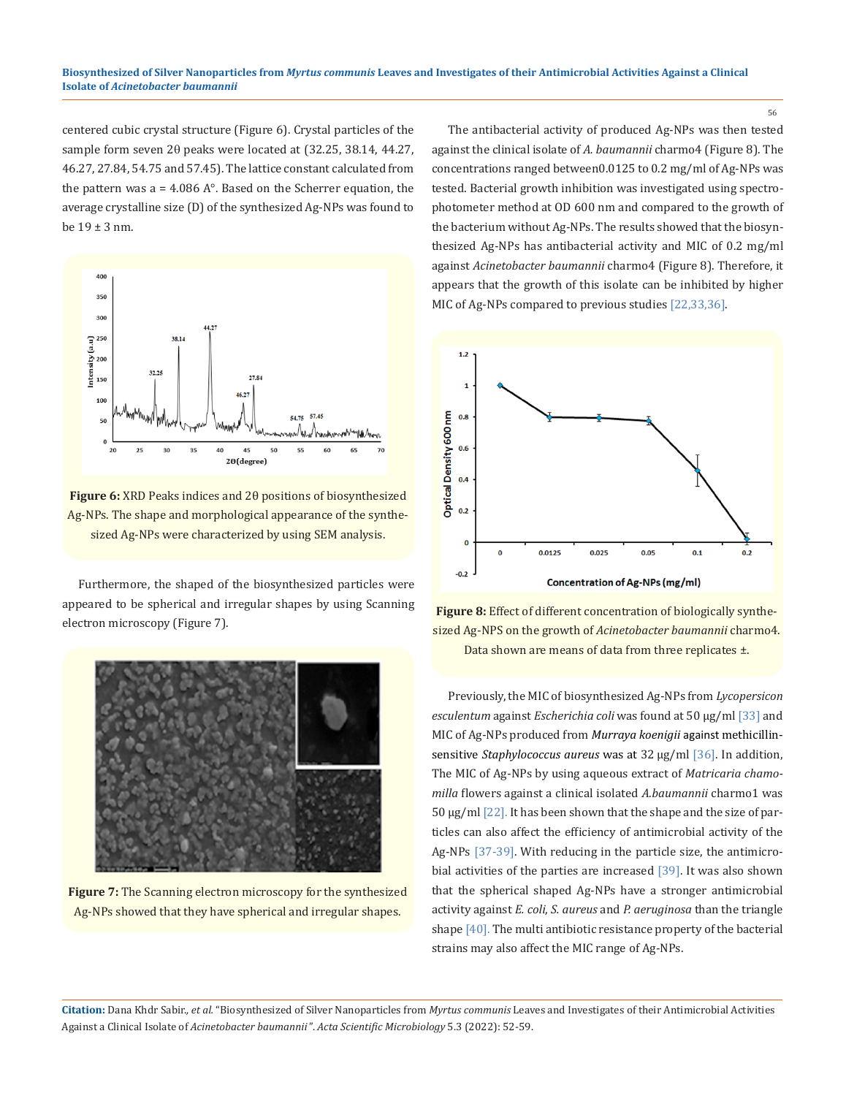#### **Biosynthesized of Silver Nanoparticles from** *Myrtus communis* **Leaves and Investigates of their Antimicrobial Activities Against a Clinical Isolate of** *Acinetobacter baumannii*

centered cubic crystal structure (Figure 6). Crystal particles of the sample form seven 2θ peaks were located at (32.25, 38.14, 44.27, 46.27, 27.84, 54.75 and 57.45). The lattice constant calculated from the pattern was  $a = 4.086$  A $\degree$ . Based on the Scherrer equation, the average crystalline size (D) of the synthesized Ag-NPs was found to be 19 ± 3 nm.



**Figure 6:** XRD Peaks indices and 2θ positions of biosynthesized Ag-NPs. The shape and morphological appearance of the synthesized Ag-NPs were characterized by using SEM analysis.

Furthermore, the shaped of the biosynthesized particles were appeared to be spherical and irregular shapes by using Scanning electron microscopy (Figure 7).



**Figure 7:** The Scanning electron microscopy for the synthesized Ag-NPs showed that they have spherical and irregular shapes.

The antibacterial activity of produced Ag-NPs was then tested against the clinical isolate of *A. baumannii* charmo4 (Figure 8). The concentrations ranged between0.0125 to 0.2 mg/ml of Ag-NPs was tested. Bacterial growth inhibition was investigated using spectrophotometer method at OD 600 nm and compared to the growth of the bacterium without Ag-NPs. The results showed that the biosynthesized Ag-NPs has antibacterial activity and MIC of 0.2 mg/ml against *Acinetobacter baumannii* charmo4 (Figure 8). Therefore, it appears that the growth of this isolate can be inhibited by higher MIC of Ag-NPs compared to previous studies [22,33,36].





Previously, the MIC of biosynthesized Ag-NPs from *Lycopersicon esculentum* against *Escherichia coli* was found at 50 µg/ml [33] and MIC of Ag-NPs produced from *Murraya koenigii* against methicillinsensitive *Staphylococcus aureus* was at 32 μg/ml [36]. In addition, The MIC of Ag-NPs by using aqueous extract of *Matricaria chamomilla* flowers against a clinical isolated *A.baumannii* charmo1 was 50 µg/ml [22]. It has been shown that the shape and the size of particles can also affect the efficiency of antimicrobial activity of the Ag-NPs [37-39]. With reducing in the particle size, the antimicrobial activities of the parties are increased [39]. It was also shown that the spherical shaped Ag-NPs have a stronger antimicrobial activity against *E. coli*, *S. aureus* and *P. aeruginosa* than the triangle shape [40]. The multi antibiotic resistance property of the bacterial strains may also affect the MIC range of Ag-NPs.

**Citation:** Dana Khdr Sabir.*, et al.* "Biosynthesized of Silver Nanoparticles from *Myrtus communis* Leaves and Investigates of their Antimicrobial Activities Against a Clinical Isolate of *Acinetobacter baumannii* ". *Acta Scientific Microbiology* 5.3 (2022): 52-59.

56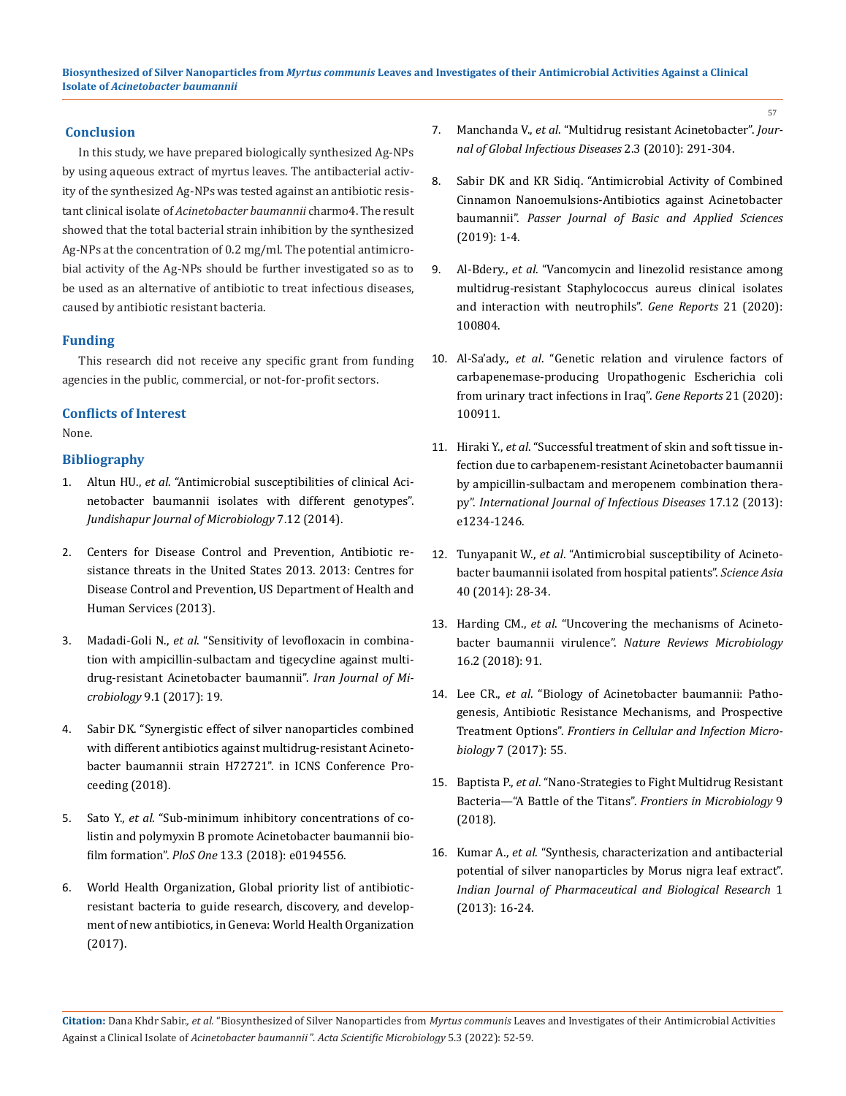# **Conclusion**

In this study, we have prepared biologically synthesized Ag-NPs by using aqueous extract of myrtus leaves. The antibacterial activity of the synthesized Ag-NPs was tested against an antibiotic resistant clinical isolate of *Acinetobacter baumannii* charmo4. The result showed that the total bacterial strain inhibition by the synthesized Ag-NPs at the concentration of 0.2 mg/ml. The potential antimicrobial activity of the Ag-NPs should be further investigated so as to be used as an alternative of antibiotic to treat infectious diseases, caused by antibiotic resistant bacteria.

# **Funding**

This research did not receive any specific grant from funding agencies in the public, commercial, or not-for-profit sectors.

# **Conflicts of Interest**

None.

# **Bibliography**

- 1. Altun HU., *et al*[. "Antimicrobial susceptibilities of clinical Aci](https://pubmed.ncbi.nlm.nih.gov/25741433/)[netobacter baumannii isolates with different genotypes".](https://pubmed.ncbi.nlm.nih.gov/25741433/) *[Jundishapur Journal of Microbiology](https://pubmed.ncbi.nlm.nih.gov/25741433/)* 7.12 (2014).
- 2. Centers for Disease Control and Prevention, Antibiotic resistance threats in the United States 2013. 2013: Centres for Disease Control and Prevention, US Department of Health and Human Services (2013).
- 3. Madadi-Goli N., *et al*. "Sensitivity of levofloxacin in combination with ampicillin-sulbactam and tigecycline against multidrug-resistant Acinetobacter baumannii". *Iran Journal of Microbiology* 9.1 (2017): 19.
- 4. [Sabir DK. "Synergistic effect of silver nanoparticles combined](https://www.researchgate.net/publication/328966040_SYNERGISTIC_EFFECT_OF_SILVER_NANOPARTICLES_COMBINED_WITH_DIFFERENT_ANTIBIOTICS_AGAINST_MULTIDRUG-RESISTANT_ACINETOBACTER_BAUMANNII_STRAIN_H72721) [with different antibiotics against multidrug-resistant Acineto](https://www.researchgate.net/publication/328966040_SYNERGISTIC_EFFECT_OF_SILVER_NANOPARTICLES_COMBINED_WITH_DIFFERENT_ANTIBIOTICS_AGAINST_MULTIDRUG-RESISTANT_ACINETOBACTER_BAUMANNII_STRAIN_H72721)[bacter baumannii strain H72721". in ICNS Conference Pro](https://www.researchgate.net/publication/328966040_SYNERGISTIC_EFFECT_OF_SILVER_NANOPARTICLES_COMBINED_WITH_DIFFERENT_ANTIBIOTICS_AGAINST_MULTIDRUG-RESISTANT_ACINETOBACTER_BAUMANNII_STRAIN_H72721)[ceeding \(2018\).](https://www.researchgate.net/publication/328966040_SYNERGISTIC_EFFECT_OF_SILVER_NANOPARTICLES_COMBINED_WITH_DIFFERENT_ANTIBIOTICS_AGAINST_MULTIDRUG-RESISTANT_ACINETOBACTER_BAUMANNII_STRAIN_H72721)
- 5. Sato Y., *et al*[. "Sub-minimum inhibitory concentrations of co](https://pubmed.ncbi.nlm.nih.gov/29554105/)[listin and polymyxin B promote Acinetobacter baumannii bio](https://pubmed.ncbi.nlm.nih.gov/29554105/)film formation". *PloS One* [13.3 \(2018\): e0194556.](https://pubmed.ncbi.nlm.nih.gov/29554105/)
- 6. World Health Organization, Global priority list of antibioticresistant bacteria to guide research, discovery, and development of new antibiotics, in Geneva: World Health Organization (2017).

7. Manchanda V., *et al*[. "Multidrug resistant Acinetobacter".](https://pubmed.ncbi.nlm.nih.gov/20927292/) *Jour[nal of Global Infectious Diseases](https://pubmed.ncbi.nlm.nih.gov/20927292/)* 2.3 (2010): 291-304.

57

- 8. [Sabir DK and KR Sidiq. "Antimicrobial Activity of Combined](https://www.researchgate.net/publication/334431847_Antimicrobial_Activity_of_Combined_Cinnamon_Nanoemulsions-Antibiotics_against_Acinetobacter_baumannii) [Cinnamon Nanoemulsions-Antibiotics against Acinetobacter](https://www.researchgate.net/publication/334431847_Antimicrobial_Activity_of_Combined_Cinnamon_Nanoemulsions-Antibiotics_against_Acinetobacter_baumannii) baumannii". *[Passer Journal of Basic and Applied Sciences](https://www.researchgate.net/publication/334431847_Antimicrobial_Activity_of_Combined_Cinnamon_Nanoemulsions-Antibiotics_against_Acinetobacter_baumannii)* [\(2019\): 1-4.](https://www.researchgate.net/publication/334431847_Antimicrobial_Activity_of_Combined_Cinnamon_Nanoemulsions-Antibiotics_against_Acinetobacter_baumannii)
- 9. Al-Bdery., *et al*[. "Vancomycin and linezolid resistance among](https://www.sciencedirect.com/science/article/pii/S2452014420302181)  [multidrug-resistant Staphylococcus aureus clinical isolates](https://www.sciencedirect.com/science/article/pii/S2452014420302181) [and interaction with neutrophils".](https://www.sciencedirect.com/science/article/pii/S2452014420302181) *Gene Reports* 21 (2020): [100804.](https://www.sciencedirect.com/science/article/pii/S2452014420302181)
- 10. Al-Sa'ady., *et al*[. "Genetic relation and virulence factors of](https://www.sciencedirect.com/science/article/pii/S2452014420303253) [carbapenemase-producing Uropathogenic Escherichia coli](https://www.sciencedirect.com/science/article/pii/S2452014420303253)  [from urinary tract infections in Iraq".](https://www.sciencedirect.com/science/article/pii/S2452014420303253) *Gene Reports* 21 (2020): [100911.](https://www.sciencedirect.com/science/article/pii/S2452014420303253)
- 11. Hiraki Y., *et al*[. "Successful treatment of skin and soft tissue in](https://pubmed.ncbi.nlm.nih.gov/23791858/)[fection due to carbapenem-resistant Acinetobacter baumannii](https://pubmed.ncbi.nlm.nih.gov/23791858/)  [by ampicillin-sulbactam and meropenem combination thera](https://pubmed.ncbi.nlm.nih.gov/23791858/)py". *[International Journal of Infectious Diseases](https://pubmed.ncbi.nlm.nih.gov/23791858/)* 17.12 (2013): [e1234-1246.](https://pubmed.ncbi.nlm.nih.gov/23791858/)
- 12. Tunyapanit W., *et al*. "Antimicrobial susceptibility of Acinetobacter baumannii isolated from hospital patients". *Science Asia* 40 (2014): 28-34.
- 13. Harding CM., *et al*[. "Uncovering the mechanisms of Acineto](https://pubmed.ncbi.nlm.nih.gov/29249812/)bacter baumannii virulence". *[Nature Reviews Microbiology](https://pubmed.ncbi.nlm.nih.gov/29249812/)*  [16.2 \(2018\): 91.](https://pubmed.ncbi.nlm.nih.gov/29249812/)
- 14. Lee CR., *et al*[. "Biology of Acinetobacter baumannii: Patho](https://www.frontiersin.org/articles/10.3389/fcimb.2017.00055/full)[genesis, Antibiotic Resistance Mechanisms, and Prospective](https://www.frontiersin.org/articles/10.3389/fcimb.2017.00055/full) Treatment Options". *[Frontiers in Cellular and Infection Micro](https://www.frontiersin.org/articles/10.3389/fcimb.2017.00055/full)biology* [7 \(2017\): 55.](https://www.frontiersin.org/articles/10.3389/fcimb.2017.00055/full)
- 15. Baptista P., *et al*[. "Nano-Strategies to Fight Multidrug Resistant](https://www.frontiersin.org/articles/10.3389/fmicb.2018.01441/full)  [Bacteria—"A Battle of the Titans".](https://www.frontiersin.org/articles/10.3389/fmicb.2018.01441/full) *Frontiers in Microbiology* 9 [\(2018\).](https://www.frontiersin.org/articles/10.3389/fmicb.2018.01441/full)
- 16. Kumar A., *et al*[. "Synthesis, characterization and antibacterial](https://www.researchgate.net/publication/283630081_Synthesis_characterization_and_antibacterial_potential_of_silver_nanoparticles_by_Morus_nigra_leaf_extract)  [potential of silver nanoparticles by Morus nigra leaf extract".](https://www.researchgate.net/publication/283630081_Synthesis_characterization_and_antibacterial_potential_of_silver_nanoparticles_by_Morus_nigra_leaf_extract)  *[Indian Journal of Pharmaceutical and Biological Research](https://www.researchgate.net/publication/283630081_Synthesis_characterization_and_antibacterial_potential_of_silver_nanoparticles_by_Morus_nigra_leaf_extract)* 1 [\(2013\): 16-24.](https://www.researchgate.net/publication/283630081_Synthesis_characterization_and_antibacterial_potential_of_silver_nanoparticles_by_Morus_nigra_leaf_extract)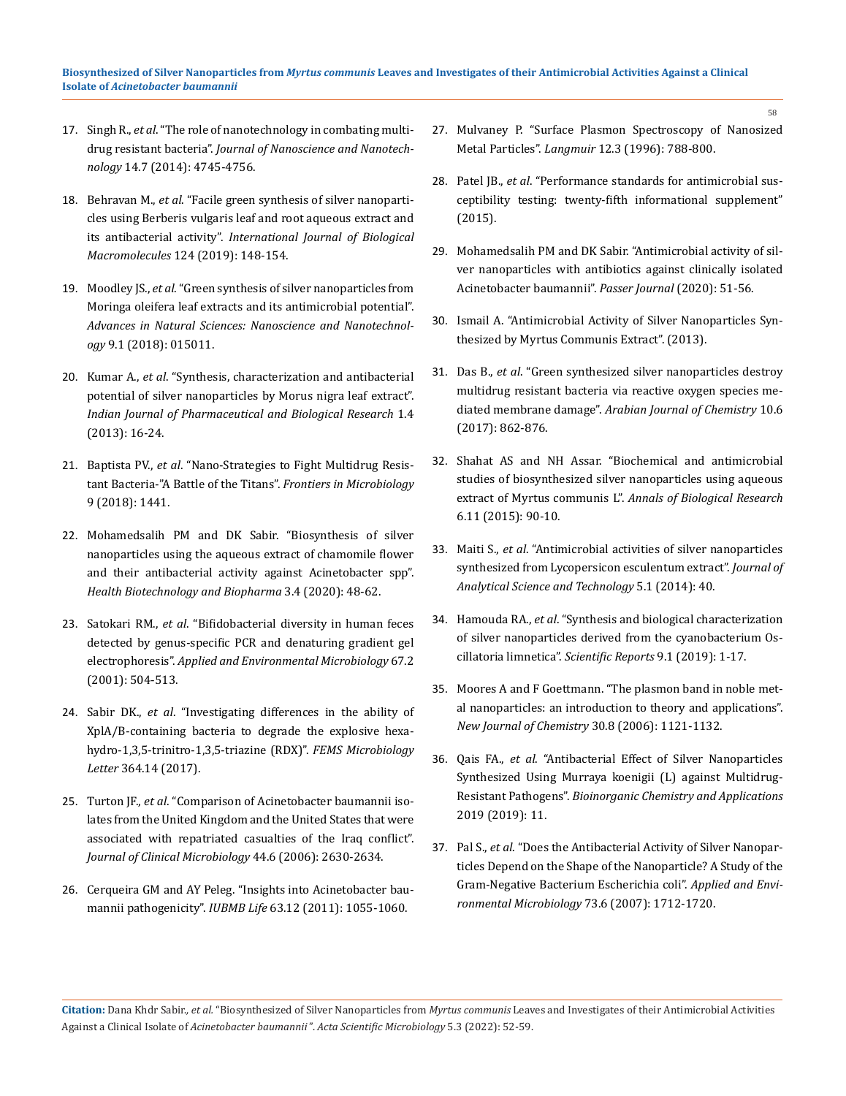- 17. Singh R., *et al*[. "The role of nanotechnology in combating multi](https://pubmed.ncbi.nlm.nih.gov/24757944/)drug resistant bacteria". *[Journal of Nanoscience and Nanotech](https://pubmed.ncbi.nlm.nih.gov/24757944/)nology* [14.7 \(2014\): 4745-4756.](https://pubmed.ncbi.nlm.nih.gov/24757944/)
- 18. Behravan M., *et al*[. "Facile green synthesis of silver nanoparti](https://www.sciencedirect.com/science/article/pii/S0141813018346907)[cles using Berberis vulgaris leaf and root aqueous extract and](https://www.sciencedirect.com/science/article/pii/S0141813018346907) its antibacterial activity". *[International Journal of Biological](https://www.sciencedirect.com/science/article/pii/S0141813018346907) Macromolecules* [124 \(2019\): 148-154.](https://www.sciencedirect.com/science/article/pii/S0141813018346907)
- 19. Moodley JS., *et al*[. "Green synthesis of silver nanoparticles from](https://iopscience.iop.org/article/10.1088/2043-6254/aaabb2/meta) [Moringa oleifera leaf extracts and its antimicrobial potential".](https://iopscience.iop.org/article/10.1088/2043-6254/aaabb2/meta) *[Advances in Natural Sciences: Nanoscience and Nanotechnol](https://iopscience.iop.org/article/10.1088/2043-6254/aaabb2/meta)ogy* [9.1 \(2018\): 015011.](https://iopscience.iop.org/article/10.1088/2043-6254/aaabb2/meta)
- 20. Kumar A., *et al*[. "Synthesis, characterization and antibacterial](https://www.researchgate.net/publication/283630081_Synthesis_characterization_and_antibacterial_potential_of_silver_nanoparticles_by_Morus_nigra_leaf_extract) [potential of silver nanoparticles by Morus nigra leaf extract".](https://www.researchgate.net/publication/283630081_Synthesis_characterization_and_antibacterial_potential_of_silver_nanoparticles_by_Morus_nigra_leaf_extract) *[Indian Journal of Pharmaceutical and Biological Research](https://www.researchgate.net/publication/283630081_Synthesis_characterization_and_antibacterial_potential_of_silver_nanoparticles_by_Morus_nigra_leaf_extract)* 1.4 [\(2013\): 16-24.](https://www.researchgate.net/publication/283630081_Synthesis_characterization_and_antibacterial_potential_of_silver_nanoparticles_by_Morus_nigra_leaf_extract)
- 21. Baptista PV., *et al*. "Nano-Strategies to Fight Multidrug Resistant Bacteria-"A Battle of the Titans". *Frontiers in Microbiology* 9 (2018): 1441.
- 22. [Mohamedsalih PM and DK Sabir. "Biosynthesis of silver](https://www.researchgate.net/publication/340166577_Biosynthesis_of_silver_nanoparticles_using_the_aqueous_extract_of_chamomile_flower_and_their_antibacterial_activity_against_Acinetobacter_spp) [nanoparticles using the aqueous extract of chamomile flower](https://www.researchgate.net/publication/340166577_Biosynthesis_of_silver_nanoparticles_using_the_aqueous_extract_of_chamomile_flower_and_their_antibacterial_activity_against_Acinetobacter_spp) [and their antibacterial activity against Acinetobacter spp".](https://www.researchgate.net/publication/340166577_Biosynthesis_of_silver_nanoparticles_using_the_aqueous_extract_of_chamomile_flower_and_their_antibacterial_activity_against_Acinetobacter_spp) *[Health Biotechnology and Biopharma](https://www.researchgate.net/publication/340166577_Biosynthesis_of_silver_nanoparticles_using_the_aqueous_extract_of_chamomile_flower_and_their_antibacterial_activity_against_Acinetobacter_spp)* 3.4 (2020): 48-62.
- 23. Satokari RM., *et al*. "Bifidobacterial diversity in human feces detected by genus-specific PCR and denaturing gradient gel electrophoresis". *Applied and Environmental Microbiology* 67.2 (2001): 504-513.
- 24. Sabir DK., *et al*[. "Investigating differences in the ability of](https://pubmed.ncbi.nlm.nih.gov/28854671/) [XplA/B-containing bacteria to degrade the explosive hexa](https://pubmed.ncbi.nlm.nih.gov/28854671/)[hydro-1,3,5-trinitro-1,3,5-triazine \(RDX\)".](https://pubmed.ncbi.nlm.nih.gov/28854671/) *FEMS Microbiology Letter* [364.14 \(2017\).](https://pubmed.ncbi.nlm.nih.gov/28854671/)
- 25. Turton JF., *et al*[. "Comparison of Acinetobacter baumannii iso](https://pubmed.ncbi.nlm.nih.gov/16825400/)[lates from the United Kingdom and the United States that were](https://pubmed.ncbi.nlm.nih.gov/16825400/) [associated with repatriated casualties of the Iraq conflict".](https://pubmed.ncbi.nlm.nih.gov/16825400/) *[Journal of Clinical Microbiology](https://pubmed.ncbi.nlm.nih.gov/16825400/)* 44.6 (2006): 2630-2634.
- 26. [Cerqueira GM and AY Peleg. "Insights into Acinetobacter bau](https://pubmed.ncbi.nlm.nih.gov/21989983/)mannii pathogenicity". *IUBMB Life* [63.12 \(2011\): 1055-1060.](https://pubmed.ncbi.nlm.nih.gov/21989983/)
- 27. [Mulvaney P. "Surface Plasmon Spectroscopy of Nanosized](https://pubs.acs.org/doi/10.1021/la9502711) Metal Particles". *Langmuir* [12.3 \(1996\): 788-800.](https://pubs.acs.org/doi/10.1021/la9502711)
- 28. Patel JB., *et al*[. "Performance standards for antimicrobial sus](https://clsi.org/standards/products/microbiology/documents/m100/)[ceptibility testing: twenty-fifth informational supplement"](https://clsi.org/standards/products/microbiology/documents/m100/)  [\(2015\).](https://clsi.org/standards/products/microbiology/documents/m100/)
- 29. [Mohamedsalih PM and DK Sabir. "Antimicrobial activity of sil](https://www.researchgate.net/publication/342173789_Antimicrobial_Activity_of_Silver_Nanoparticles_with_Antibiotics_Against_Clinically_Isolated_Acinetobacter_baumannii)[ver nanoparticles with antibiotics against clinically isolated](https://www.researchgate.net/publication/342173789_Antimicrobial_Activity_of_Silver_Nanoparticles_with_Antibiotics_Against_Clinically_Isolated_Acinetobacter_baumannii) [Acinetobacter baumannii".](https://www.researchgate.net/publication/342173789_Antimicrobial_Activity_of_Silver_Nanoparticles_with_Antibiotics_Against_Clinically_Isolated_Acinetobacter_baumannii) *Passer Journal* (2020): 51-56.
- 30. [Ismail A. "Antimicrobial Activity of Silver Nanoparticles Syn](https://www.researchgate.net/publication/262373480_Antimicrobial_Activity_of_Silver_Nanoparticles_Synthesized_by_Myrtus_Communis_Extract)[thesized by Myrtus Communis Extract". \(2013\).](https://www.researchgate.net/publication/262373480_Antimicrobial_Activity_of_Silver_Nanoparticles_Synthesized_by_Myrtus_Communis_Extract)
- 31. Das B., *et al*[. "Green synthesized silver nanoparticles destroy](https://www.sciencedirect.com/science/article/pii/S1878535215002488)  [multidrug resistant bacteria via reactive oxygen species me](https://www.sciencedirect.com/science/article/pii/S1878535215002488)diated membrane damage". *[Arabian Journal of Chemistry](https://www.sciencedirect.com/science/article/pii/S1878535215002488)* 10.6 [\(2017\): 862-876.](https://www.sciencedirect.com/science/article/pii/S1878535215002488)
- 32. Shahat AS and NH Assar. "Biochemical and antimicrobial studies of biosynthesized silver nanoparticles using aqueous extract of Myrtus communis L". *Annals of Biological Research*  6.11 (2015): 90-10.
- 33. Maiti S., *et al*[. "Antimicrobial activities of silver nanoparticles](https://jast-journal.springeropen.com/articles/10.1186/s40543-014-0040-3)  [synthesized from Lycopersicon esculentum extract".](https://jast-journal.springeropen.com/articles/10.1186/s40543-014-0040-3) *Journal of [Analytical Science and Technology](https://jast-journal.springeropen.com/articles/10.1186/s40543-014-0040-3)* 5.1 (2014): 40.
- 34. Hamouda RA., *et al*[. "Synthesis and biological characterization](https://www.nature.com/articles/s41598-019-49444-y) [of silver nanoparticles derived from the cyanobacterium Os](https://www.nature.com/articles/s41598-019-49444-y)[cillatoria limnetica".](https://www.nature.com/articles/s41598-019-49444-y) *Scientific Reports* 9.1 (2019): 1-17.
- 35. [Moores A and F Goettmann. "The plasmon band in noble met](https://pubs.rsc.org/en/content/articlelanding/2006/nj/b604038c)[al nanoparticles: an introduction to theory and applications".](https://pubs.rsc.org/en/content/articlelanding/2006/nj/b604038c) *[New Journal of Chemistry](https://pubs.rsc.org/en/content/articlelanding/2006/nj/b604038c)* 30.8 (2006): 1121-1132.
- 36. Qais FA., *et al*[. "Antibacterial Effect of Silver Nanoparticles](https://www.hindawi.com/journals/bca/2019/4649506/) [Synthesized Using Murraya koenigii \(L\) against Multidrug-](https://www.hindawi.com/journals/bca/2019/4649506/)Resistant Pathogens". *[Bioinorganic Chemistry and Applications](https://www.hindawi.com/journals/bca/2019/4649506/)*  [2019 \(2019\): 11.](https://www.hindawi.com/journals/bca/2019/4649506/)
- 37. Pal S., *et al*[. "Does the Antibacterial Activity of Silver Nanopar](https://pubmed.ncbi.nlm.nih.gov/17261510/)[ticles Depend on the Shape of the Nanoparticle? A Study of the](https://pubmed.ncbi.nlm.nih.gov/17261510/)  [Gram-Negative Bacterium Escherichia coli".](https://pubmed.ncbi.nlm.nih.gov/17261510/) *Applied and Envi[ronmental Microbiology](https://pubmed.ncbi.nlm.nih.gov/17261510/)* 73.6 (2007): 1712-1720.

**Citation:** Dana Khdr Sabir.*, et al.* "Biosynthesized of Silver Nanoparticles from *Myrtus communis* Leaves and Investigates of their Antimicrobial Activities Against a Clinical Isolate of *Acinetobacter baumannii* ". *Acta Scientific Microbiology* 5.3 (2022): 52-59.

58